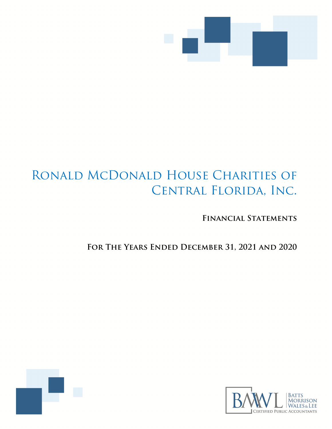

# Ronald McDonald House Charities of CENTRAL FLORIDA, INC.

**Financial Statements** 

**For The Years Ended December 31, 2021 and 2020**



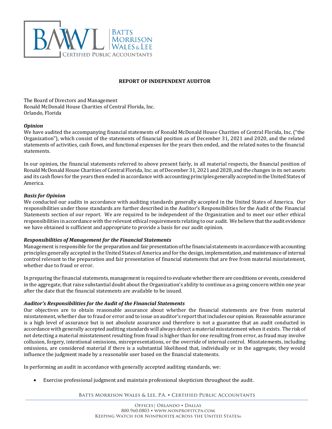

## **REPORT OF INDEPENDENT AUDITOR**

The Board of Directors and Management Ronald McDonald House Charities of Central Florida, Inc. Orlando, Florida

## *Opinion*

We have audited the accompanying financial statements of Ronald McDonald House Charities of Central Florida, Inc. ("the Organization"), which consist of the statements of financial position as of December 31, 2021 and 2020, and the related statements of activities, cash flows, and functional expenses for the years then ended, and the related notes to the financial statements.

In our opinion, the financial statements referred to above present fairly, in all material respects, the financial position of Ronald McDonald House Charities of Central Florida, Inc. as of December 31, 2021 and 2020, and the changes in its net assets and its cash flows for the years then ended in accordance with accounting principles generally accepted in the United States of America.

## *Basis for Opinion*

We conducted our audits in accordance with auditing standards generally accepted in the United States of America. Our responsibilities under those standards are further described in the Auditor's Responsibilities for the Audit of the Financial Statements section of our report. We are required to be independent of the Organization and to meet our other ethical responsibilities in accordance with the relevant ethical requirements relating to our audit. We believe that the audit evidence we have obtained is sufficient and appropriate to provide a basis for our audit opinion.

## *Responsibilities of Management for the Financial Statements*

Management is responsible for the preparation and fair presentation of the financial statements in accordance with accounting principles generally accepted in the United States of America and for the design, implementation, and maintenance of internal control relevant to the preparation and fair presentation of financial statements that are free from material misstatement, whether due to fraud or error.

In preparing the financial statements, management is required to evaluate whether there are conditions or events, considered in the aggregate, that raise substantial doubt about the Organization's ability to continue as a going concern within one year after the date that the financial statements are available to be issued.

## *Auditor's Responsibilities for the Audit of the Financial Statements*

Our objectives are to obtain reasonable assurance about whether the financial statements are free from material misstatement, whether due to fraud or error and to issue an auditor's report that includes our opinion. Reasonable assurance is a high level of assurance but is not absolute assurance and therefore is not a guarantee that an audit conducted in accordance with generally accepted auditing standards will always detect a material misstatement when it exists. The risk of not detecting a material misstatement resulting from fraud is higher than for one resulting from error, as fraud may involve collusion, forgery, intentional omissions, misrepresentations, or the override of internal control. Misstatements, including omissions, are considered material if there is a substantial likelihood that, individually or in the aggregate, they would influence the judgment made by a reasonable user based on the financial statements.

In performing an audit in accordance with generally accepted auditing standards, we:

• Exercise professional judgment and maintain professional skepticism throughout the audit.

**Batts Morrison Wales & Lee, P.A.** • **Certified Public Accountants**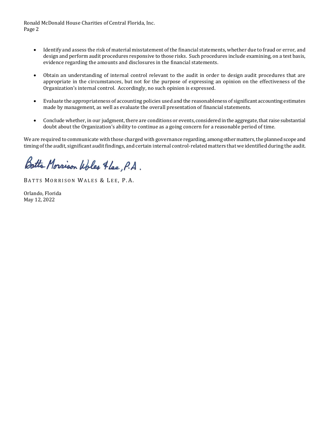Ronald McDonald House Charities of Central Florida, Inc. Page 2

- Identify and assess the risk of material misstatement of the financial statements, whether due to fraud or error, and design and perform audit procedures responsive to those risks. Such procedures include examining, on a test basis, evidence regarding the amounts and disclosures in the financial statements.
- Obtain an understanding of internal control relevant to the audit in order to design audit procedures that are appropriate in the circumstances, but not for the purpose of expressing an opinion on the effectiveness of the Organization's internal control. Accordingly, no such opinion is expressed.
- Evaluate the appropriateness of accounting policies used and the reasonableness of significant accounting estimates made by management, as well as evaluate the overall presentation of financial statements.
- Conclude whether, in our judgment, there are conditions or events, considered in the aggregate, that raise substantial doubt about the Organization's ability to continue as a going concern for a reasonable period of time.

We are required to communicate with those charged with governance regarding, among other matters, the planned scope and timing of the audit, significant audit findings, and certain internal control-related matters that we identified during the audit.

Botts Morrison Woles Flae, P.A.

BATTS MORRISON WALES & LEE, P.A.

Orlando, Florida May 12, 2022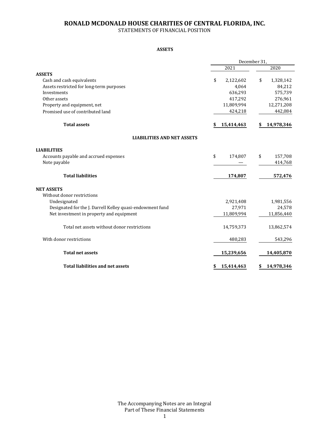STATEMENTS OF FINANCIAL POSITION

## **ASSETS**

|                                                           | December 31,     |                  |  |  |
|-----------------------------------------------------------|------------------|------------------|--|--|
|                                                           | 2021             | 2020             |  |  |
| <b>ASSETS</b>                                             |                  |                  |  |  |
| Cash and cash equivalents                                 | \$<br>2,122,602  | \$<br>1,328,142  |  |  |
| Assets restricted for long-term purposes                  | 4,064            | 84,212           |  |  |
| Investments                                               | 636,293          | 575,739          |  |  |
| Other assets                                              | 417,292          | 276,961          |  |  |
| Property and equipment, net                               | 11,809,994       | 12,271,208       |  |  |
| Promised use of contributed land                          | 424,218          | 442,084          |  |  |
| <b>Total assets</b>                                       | 15,414,463<br>S  | 14,978,346       |  |  |
| <b>LIABILITIES AND NET ASSETS</b>                         |                  |                  |  |  |
| <b>LIABILITIES</b>                                        |                  |                  |  |  |
| Accounts payable and accrued expenses                     | \$<br>174,807    | \$<br>157,708    |  |  |
| Note payable                                              |                  | 414,768          |  |  |
| <b>Total liabilities</b>                                  | 174,807          | 572,476          |  |  |
| <b>NET ASSETS</b>                                         |                  |                  |  |  |
| Without donor restrictions                                |                  |                  |  |  |
| Undesignated                                              | 2,921,408        | 1,981,556        |  |  |
| Designated for the J. Darrell Kelley quasi-endowment fund | 27,971           | 24,578           |  |  |
| Net investment in property and equipment                  | 11,809,994       | 11,856,440       |  |  |
| Total net assets without donor restrictions               | 14,759,373       | 13,862,574       |  |  |
| With donor restrictions                                   | 480,283          | 543,296          |  |  |
| <b>Total net assets</b>                                   | 15,239,656       | 14,405,870       |  |  |
| Total liabilities and net assets                          | 15,414,463<br>\$ | 14,978,346<br>\$ |  |  |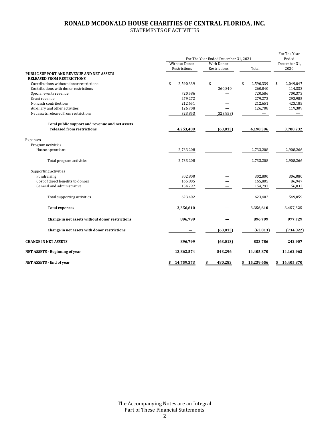STATEMENTS OF ACTIVITIES

|                                                 | For The Year Ended December 31, 2021 | For The Year<br>Ended |                  |                  |
|-------------------------------------------------|--------------------------------------|-----------------------|------------------|------------------|
|                                                 | <b>Without Donor</b>                 |                       | December 31,     |                  |
|                                                 | Restrictions                         | Restrictions          | Total            | 2020             |
| PUBLIC SUPPORT AND REVENUE AND NET ASSETS       |                                      |                       |                  |                  |
| <b>RELEASED FROM RESTRICTIONS</b>               |                                      |                       |                  |                  |
| Contributions without donor restrictions        | \$<br>2,590,339                      | \$                    | \$<br>2,590,339  | \$<br>2,049,047  |
| Contributions with donor restrictions           |                                      | 260,840               | 260,840          | 114,333          |
| Special events revenue                          | 720,586                              |                       | 720,586          | 700,373          |
| Grant revenue                                   | 279,272                              |                       | 279,272          | 293,985          |
| Noncash contributions                           | 212,651                              |                       | 212,651          | 423,185          |
| Auxiliary and other activities                  | 126,708                              |                       | 126,708          | 119,309          |
| Net assets released from restrictions           | 323,853                              | (323, 853)            |                  |                  |
| Total public support and revenue and net assets |                                      |                       |                  |                  |
| released from restrictions                      | 4,253,409                            | (63, 013)             | 4,190,396        | 3,700,232        |
| Expenses                                        |                                      |                       |                  |                  |
| Program activities                              |                                      |                       |                  |                  |
| House operations                                | 2,733,208                            |                       | 2,733,208        | 2,908,266        |
| Total program activities                        | 2,733,208                            |                       | 2,733,208        | 2,908,266        |
| Supporting activities                           |                                      |                       |                  |                  |
| Fundraising                                     | 302,800                              |                       | 302,800          | 306,080          |
| Cost of direct benefits to donors               | 165,805                              |                       | 165,805          | 86,947           |
| General and administrative                      | 154,797                              |                       | 154,797          | 156,032          |
| Total supporting activities                     | 623,402                              |                       | 623,402          | 549,059          |
| <b>Total expenses</b>                           | 3,356,610                            |                       | 3,356,610        | 3,457,325        |
| Change in net assets without donor restrictions | 896,799                              |                       | 896,799          | 977,729          |
| Change in net assets with donor restrictions    |                                      | (63, 013)             | (63, 013)        | (734, 822)       |
| <b>CHANGE IN NET ASSETS</b>                     | 896,799                              | (63, 013)             | 833,786          | 242,907          |
| <b>NET ASSETS - Beginning of year</b>           | 13,862,574                           | 543,296               | 14,405,870       | 14,162,963       |
| <b>NET ASSETS - End of year</b>                 | \$<br>14,759,373                     | \$<br>480,283         | 15,239,656<br>\$ | \$<br>14,405,870 |

The Accompanying Notes are an Integral Part of These Financial Statements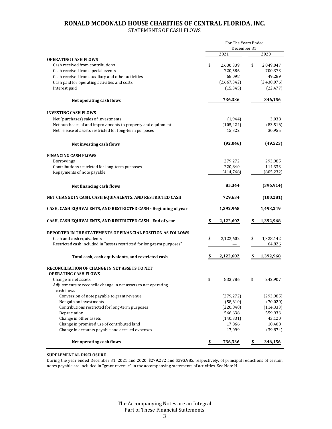STATEMENTS OF CASH FLOWS

|                                                                        | For The Years Ended<br>December 31, |             |    |             |
|------------------------------------------------------------------------|-------------------------------------|-------------|----|-------------|
|                                                                        |                                     |             |    |             |
| <b>OPERATING CASH FLOWS</b>                                            |                                     | 2021        |    | 2020        |
| Cash received from contributions                                       | \$                                  | 2,630,339   | \$ | 2,049,047   |
| Cash received from special events                                      |                                     | 720,586     |    | 700,373     |
| Cash received from auxiliary and other activities                      |                                     | 68,098      |    | 49,289      |
| Cash paid for operating activities and costs                           |                                     | (2,667,342) |    | (2,430,076) |
| Interest paid                                                          |                                     | (15, 345)   |    | (22, 477)   |
|                                                                        |                                     |             |    |             |
| Net operating cash flows                                               |                                     | 736,336     |    | 346,156     |
| <b>INVESTING CASH FLOWS</b>                                            |                                     |             |    |             |
| Net (purchases) sales of investments                                   |                                     | (1, 944)    |    | 3,038       |
| Net purchases of and improvements to property and equipment            |                                     | (105, 424)  |    | (83, 516)   |
| Net release of assets restricted for long-term purposes                |                                     | 15,322      |    | 30,955      |
| Net investing cash flows                                               |                                     | (92, 046)   |    | (49, 523)   |
| <b>FINANCING CASH FLOWS</b>                                            |                                     |             |    |             |
| <b>Borrowings</b>                                                      |                                     | 279,272     |    | 293,985     |
| Contributions restricted for long-term purposes                        |                                     | 220,840     |    | 114,333     |
| Repayments of note payable                                             |                                     | (414, 768)  |    | (805, 232)  |
| Net financing cash flows                                               |                                     | 85,344      |    | (396, 914)  |
| NET CHANGE IN CASH, CASH EQUIVALENTS, AND RESTRICTED CASH              |                                     | 729,634     |    | (100, 281)  |
| CASH, CASH EQUIVALENTS, AND RESTRICTED CASH - Beginning of year        |                                     | 1,392,968   |    | 1,493,249   |
| CASH, CASH EQUIVALENTS, AND RESTRICTED CASH - End of year              | \$                                  | 2,122,602   | \$ | 1,392,968   |
| <b>REPORTED IN THE STATEMENTS OF FINANCIAL POSITION AS FOLLOWS</b>     |                                     |             |    |             |
| Cash and cash equivalents                                              | \$                                  | 2,122,602   | \$ | 1,328,142   |
| Restricted cash included in "assets restricted for long-term purposes" |                                     |             |    | 64,826      |
| Total cash, cash equivalents, and restricted cash                      | \$                                  | 2,122,602   | \$ | 1,392,968   |
| RECONCILIATION OF CHANGE IN NET ASSETS TO NET                          |                                     |             |    |             |
| <b>OPERATING CASH FLOWS</b>                                            |                                     |             |    |             |
| Change in net assets                                                   | \$                                  | 833,786     | \$ | 242.907     |
| Adjustments to reconcile change in net assets to net operating         |                                     |             |    |             |
| cash flows                                                             |                                     |             |    |             |
| Conversion of note payable to grant revenue                            |                                     | (279, 272)  |    | (293, 985)  |
| Net gain on investments                                                |                                     | (58,610)    |    | (70,020)    |
| Contributions restricted for long-term purposes                        |                                     | (220, 840)  |    | (114, 333)  |
| Depreciation                                                           |                                     | 566,638     |    | 559,933     |
| Change in other assets                                                 |                                     | (140, 331)  |    | 43,120      |
| Change in promised use of contributed land                             |                                     | 17,866      |    | 18,408      |
| Change in accounts payable and accrued expenses                        |                                     | 17,099      |    | (39, 874)   |
| Net operating cash flows                                               | \$                                  | 736,336     | \$ | 346,156     |

#### **SUPPLEMENTAL DISCLOSURE**

During the year ended December 31, 2021 and 2020, \$279,272 and \$293,985, respectively, of principal reductions of certain notes payable are included in "grant revenue" in the accompanying statements of activities. See Note H.

> The Accompanying Notes are an Integral Part of These Financial Statements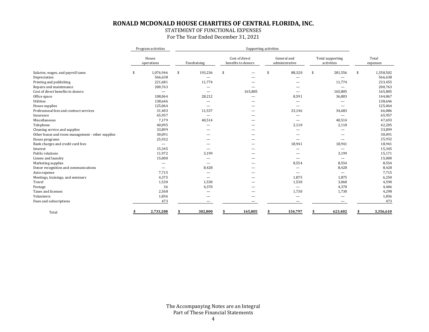# STATEMENT OF FUNCTIONAL EXPENSES

For The Year Ended December 31, 2021

|                                                  |    | Program activities       | Supporting activities |                          |                                      |         |                               |                          |                                  |    |                   |
|--------------------------------------------------|----|--------------------------|-----------------------|--------------------------|--------------------------------------|---------|-------------------------------|--------------------------|----------------------------------|----|-------------------|
|                                                  |    | House<br>operations      |                       | Fundraising              | Cost of direct<br>benefits to donors |         | General and<br>administrative |                          | Total supporting<br>activities   |    | Total<br>expenses |
| Salaries, wages, and payroll taxes               |    | 1,076,946                | \$                    | 193,236                  | \$                                   |         | -\$                           | 88,320                   | \$<br>281,556                    | \$ | 1,358,502         |
| Depreciation                                     |    | 566,638                  |                       | $\overline{\phantom{0}}$ |                                      |         |                               |                          | $\overline{\phantom{0}}$         |    | 566,638           |
| Printing and publishing                          |    | 221,681                  |                       | 11,774                   |                                      |         |                               |                          | 11,774                           |    | 233,455           |
| Repairs and maintenance                          |    | 200,763                  |                       |                          |                                      |         |                               |                          |                                  |    | 200,763           |
| Cost of direct benefits to donors                |    | —                        |                       |                          |                                      | 165,805 |                               |                          | 165,805                          |    | 165,805           |
| Office space                                     |    | 108,064                  |                       | 28,212                   |                                      |         |                               | 8,591                    | 36,803                           |    | 144,867           |
| Utilities                                        |    | 138,646                  |                       | $\overline{\phantom{0}}$ |                                      |         |                               |                          | —                                |    | 138,646           |
| House supplies                                   |    | 125,064                  |                       |                          |                                      |         |                               | $\overline{\phantom{0}}$ | $\overline{\phantom{m}}$         |    | 125,064           |
| Professional fees and contract services          |    | 31,403                   |                       | 11,537                   |                                      |         |                               | 23,146                   | 34,683                           |    | 66,086            |
| Insurance                                        |    | 65,957                   |                       | $\overline{\phantom{0}}$ |                                      |         |                               | $\overline{\phantom{0}}$ |                                  |    | 65,957            |
| Miscellaneous                                    |    | 7,179                    |                       | 40,514                   |                                      |         |                               | $\overline{\phantom{0}}$ | 40,514                           |    | 47,693            |
| Telephone                                        |    | 40,095                   |                       |                          |                                      |         |                               | 2,110                    | 2,110                            |    | 42,205            |
| Cleaning service and supplies                    |    | 33,899                   |                       |                          |                                      |         |                               |                          |                                  |    | 33,899            |
| Other house and room management - other supplies |    | 30,091                   |                       |                          |                                      |         |                               |                          |                                  |    | 30,091            |
| House programs                                   |    | 25,932                   |                       |                          |                                      |         |                               |                          |                                  |    | 25,932            |
| Bank charges and credit card fees                |    | $\overline{\phantom{0}}$ |                       |                          |                                      |         |                               | 18,941                   | 18,941                           |    | 18,941            |
| Interest                                         |    | 15,345                   |                       |                          |                                      |         |                               |                          | $\overline{\phantom{m}}$         |    | 15,345            |
| Public relations                                 |    | 11,972                   |                       | 3,199                    |                                      |         |                               | —                        | 3,199                            |    | 15,171            |
| Linens and laundry                               |    | 15,000                   |                       | $\overline{\phantom{0}}$ |                                      |         |                               | $\overline{\phantom{0}}$ | $\overbrace{\phantom{12322111}}$ |    | 15,000            |
| Marketing supplies                               |    | —                        |                       |                          |                                      |         |                               | 8,554                    | 8,554                            |    | 8,554             |
| Donor recognition and communications             |    |                          |                       | 8,428                    |                                      |         |                               |                          | 8,428                            |    | 8,428             |
| Auto expense                                     |    | 7,715                    |                       |                          |                                      |         |                               |                          |                                  |    | 7,715             |
| Meetings, trainings, and seminars                |    | 4,375                    |                       |                          |                                      |         |                               | 1,875                    | 1,875                            |    | 6,250             |
| Travel                                           |    | 1,530                    |                       | 1,530                    |                                      |         |                               | 1,530                    | 3,060                            |    | 4,590             |
| Postage                                          |    | 36                       |                       | 4,370                    |                                      |         |                               | $\overline{\phantom{0}}$ | 4,370                            |    | 4,406             |
| Taxes and licenses                               |    | 2,568                    |                       | $\overline{\phantom{0}}$ |                                      |         |                               | 1,730                    | 1,730                            |    | 4,298             |
| Volunteers                                       |    | 1,836                    |                       |                          |                                      |         |                               | $\overline{\phantom{0}}$ |                                  |    | 1,836             |
| Dues and subscriptions                           |    | 473                      |                       |                          |                                      |         |                               |                          |                                  |    | 473               |
| Total                                            | £. | 2,733,208                |                       | 302,800                  | \$                                   | 165,805 |                               | 154,797                  | \$<br>623,402                    | £. | 3,356,610         |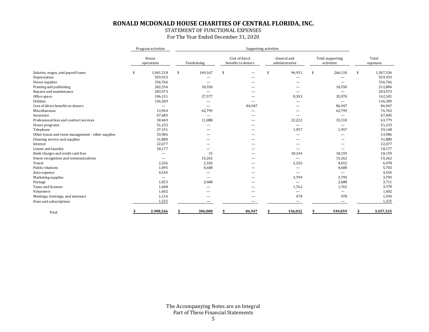# STATEMENT OF FUNCTIONAL EXPENSES

For The Year Ended December 31, 2020

|                                                  | Program activities       | Supporting activities |                          |                                      |        |               |                               |                                |                          |    |                   |
|--------------------------------------------------|--------------------------|-----------------------|--------------------------|--------------------------------------|--------|---------------|-------------------------------|--------------------------------|--------------------------|----|-------------------|
|                                                  | House<br>operations      |                       | Fundraising              | Cost of direct<br>benefits to donors |        |               | General and<br>administrative | Total supporting<br>activities |                          |    | Total<br>expenses |
| Salaries, wages, and payroll taxes               | \$<br>1,041,218          | \$                    | 169,167                  | \$                                   |        | <sup>\$</sup> | 96,951                        | \$                             | 266,118                  | \$ | 1,307,336         |
| Depreciation                                     | 559,933                  |                       |                          |                                      |        |               |                               |                                | —                        |    | 559,933           |
| House supplies                                   | 336,766                  |                       |                          |                                      |        |               |                               |                                | —                        |    | 336,766           |
| Printing and publishing                          | 202,334                  |                       | 10,550                   |                                      |        |               |                               |                                | 10,550                   |    | 212,884           |
| Repairs and maintenance                          | 203,973                  |                       | $\overline{\phantom{0}}$ |                                      |        |               |                               |                                | $\overline{\phantom{0}}$ |    | 203,973           |
| Office space                                     | 106,131                  |                       | 27,577                   |                                      |        |               | 8,393                         |                                | 35,970                   |    | 142,101           |
| Utilities                                        | 136,309                  |                       |                          |                                      |        |               |                               |                                | $\qquad \qquad -$        |    | 136,309           |
| Cost of direct benefits to donors                | $\overline{\phantom{0}}$ |                       |                          |                                      | 86,947 |               |                               |                                | 86,947                   |    | 86,947            |
| Miscellaneous                                    | 13,964                   |                       | 62,799                   |                                      |        |               |                               |                                | 62,799                   |    | 76,763            |
| Insurance                                        | 67,685                   |                       |                          |                                      |        |               |                               |                                | $\qquad \qquad -$        |    | 67,685            |
| Professional fees and contract services          | 30,469                   |                       | 11,088                   |                                      |        |               | 22,222                        |                                | 33,310                   |    | 63,779            |
| House programs                                   | 51,233                   |                       |                          |                                      |        |               | $\overline{\phantom{0}}$      |                                | —                        |    | 51,233            |
| Telephone                                        | 37,191                   |                       |                          |                                      |        |               | 1,957                         |                                | 1,957                    |    | 39,148            |
| Other house and room management - other supplies | 33,986                   |                       |                          |                                      |        |               |                               |                                |                          |    | 33,986            |
| Cleaning service and supplies                    | 31,880                   |                       |                          |                                      |        |               |                               |                                |                          |    | 31,880            |
| Interest                                         | 22,477                   |                       |                          |                                      |        |               |                               |                                |                          |    | 22,477            |
| Linens and laundry                               | 18,177                   |                       |                          |                                      |        |               |                               |                                |                          |    | 18,177            |
| Bank charges and credit card fees                | —                        |                       | 15                       |                                      |        |               | 18,144                        |                                | 18,159                   |    | 18,159            |
| Donor recognition and communications             | —                        |                       | 15,262                   |                                      |        |               | $\overline{\phantom{0}}$      |                                | 15,262                   |    | 15,262            |
| Travel                                           | 2,326                    |                       | 2,326                    |                                      |        |               | 2,326                         |                                | 4,652                    |    | 6,978             |
| Public relations                                 | 1,095                    |                       | 4,608                    |                                      |        |               |                               |                                | 4,608                    |    | 5,703             |
| Auto expense                                     | 4,545                    |                       | $\overline{\phantom{0}}$ |                                      |        |               | $\overline{\phantom{0}}$      |                                |                          |    | 4,545             |
| Marketing supplies                               | $\overline{\phantom{0}}$ |                       |                          |                                      |        |               | 3,799                         |                                | 3,799                    |    | 3,799             |
| Postage                                          | 1,023                    |                       | 2,688                    |                                      |        |               | $\overline{\phantom{0}}$      |                                | 2,688                    |    | 3,711             |
| Taxes and licenses                               | 1,608                    |                       |                          |                                      |        |               | 1,762                         |                                | 1,762                    |    | 3,370             |
| Volunteers                                       | 1,602                    |                       |                          |                                      |        |               | $\overline{\phantom{0}}$      |                                | $\overline{\phantom{0}}$ |    | 1,602             |
| Meetings, trainings, and seminars                | 1,116                    |                       |                          |                                      |        |               | 478                           |                                | 478                      |    | 1,594             |
| Dues and subscriptions                           | 1,225                    |                       |                          |                                      |        |               |                               |                                | —                        |    | 1,225             |
| Total                                            | 2,908,266                |                       | 306,080                  | \$                                   | 86,947 |               | 156,032                       |                                | 549,059                  |    | 3,457,325         |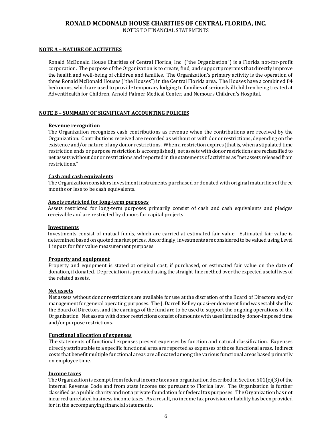NOTES TO FINANCIAL STATEMENTS

## **NOTE A – NATURE OF ACTIVITIES**

Ronald McDonald House Charities of Central Florida, Inc. ("the Organization") is a Florida not-for-profit corporation. The purpose of the Organization is to create, find, and support programs that directly improve the health and well-being of children and families. The Organization's primary activity is the operation of three Ronald McDonald Houses ("the Houses") in the Central Florida area. The Houses have a combined 84 bedrooms, which are used to provide temporary lodging to families of seriously ill children being treated at AdventHealth for Children, Arnold Palmer Medical Center, and Nemours Children's Hospital.

## **NOTE B – SUMMARY OF SIGNIFICANT ACCOUNTING POLICIES**

#### **Revenue recognition**

The Organization recognizes cash contributions as revenue when the contributions are received by the Organization. Contributions received are recorded as without or with donor restrictions, depending on the existence and/or nature of any donor restrictions. When a restriction expires (that is, when a stipulated time restriction ends or purpose restriction is accomplished), net assets with donor restrictions are reclassified to net assets without donor restrictions and reported in the statements of activities as "net assets released from restrictions."

### **Cash and cash equivalents**

The Organization considers investment instruments purchased or donated with original maturities of three months or less to be cash equivalents.

### **Assets restricted for long-term purposes**

Assets restricted for long-term purposes primarily consist of cash and cash equivalents and pledges receivable and are restricted by donors for capital projects.

#### **Investments**

Investments consist of mutual funds, which are carried at estimated fair value. Estimated fair value is determined based on quoted market prices. Accordingly,investments are considered to be valued using Level 1 inputs for fair value measurement purposes.

## **Property and equipment**

Property and equipment is stated at original cost, if purchased, or estimated fair value on the date of donation, if donated. Depreciation is provided using the straight-line method over the expected useful lives of the related assets.

#### **Net assets**

Net assets without donor restrictions are available for use at the discretion of the Board of Directors and/or management for general operating purposes. The J. Darrell Kelley quasi-endowment fundwas established by the Board of Directors, and the earnings of the fund are to be used to support the ongoing operations of the Organization. Net assets with donor restrictions consist of amounts with uses limited by donor-imposed time and/or purpose restrictions.

## **Functional allocation of expenses**

The statements of functional expenses present expenses by function and natural classification. Expenses directly attributable to a specific functional area are reported as expenses of those functional areas. Indirect costs that benefit multiple functional areas are allocated among the various functional areas based primarily on employee time.

## **Income taxes**

The Organization is exempt from federal income tax as an organization described in Section 501 $(c)(3)$  of the Internal Revenue Code and from state income tax pursuant to Florida law. The Organization is further classified as a public charity and not a private foundation for federal tax purposes. The Organization has not incurred unrelated business income taxes. As a result, no income tax provision or liability has been provided for in the accompanying financial statements.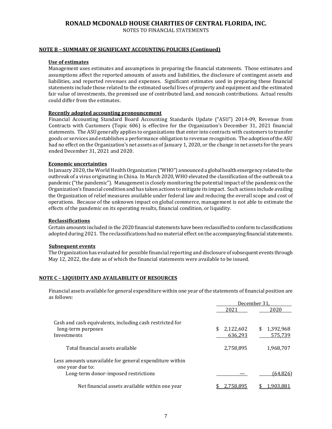NOTES TO FINANCIAL STATEMENTS

## **NOTE B – SUMMARY OF SIGNIFICANT ACCOUNTING POLICIES (Continued)**

## **Use of estimates**

Management uses estimates and assumptions in preparing the financial statements. Those estimates and assumptions affect the reported amounts of assets and liabilities, the disclosure of contingent assets and liabilities, and reported revenues and expenses. Significant estimates used in preparing these financial statements include those related to the estimated useful lives of property and equipment and the estimated fair value of investments, the promised use of contributed land, and noncash contributions. Actual results could differ from the estimates.

## **Recently adopted accounting pronouncement**

Financial Accounting Standard Board Accounting Standards Update ("ASU") 2014-09, Revenue from Contracts with Customers (Topic 606) is effective for the Organization's December 31, 2021 financial statements. The ASU generally applies to organizations that enter into contracts with customers to transfer goods or services and establishes a performance obligation to revenue recognition. The adoption of the ASU had no effect on the Organization's net assets as of January 1, 2020, or the change in net assets for the years ended December 31, 2021 and 2020.

### **Economic uncertainties**

In January 2020, the World Health Organization ("WHO") announced a global health emergency related to the outbreak of a virus originating in China. In March 2020, WHO elevated the classification of the outbreak to a pandemic ("the pandemic"). Managementis closely monitoring the potential impact of the pandemic on the Organization's financial condition and has taken actions to mitigate its impact. Such actions include availing the Organization of relief measures available under federal law and reducing the overall scope and cost of operations. Because of the unknown impact on global commerce, management is not able to estimate the effects of the pandemic on its operating results, financial condition, or liquidity.

## **Reclassifications**

Certain amounts included in the 2020 financial statements have been reclassified to conform to classifications adopted during 2021. The reclassifications had no material effect on the accompanying financial statements.

## **Subsequent events**

The Organization has evaluated for possible financial reporting and disclosure of subsequent events through May 12, 2022, the date as of which the financial statements were available to be issued.

## **NOTE C – LIQUIDITY AND AVAILABILITY OF RESOURCES**

Financial assets available for general expenditure within one year of the statements of financial position are as follows: December 31,

|                                                                                                                     |                            | December 31                |
|---------------------------------------------------------------------------------------------------------------------|----------------------------|----------------------------|
|                                                                                                                     | 2021                       | 2020                       |
| Cash and cash equivalents, including cash restricted for<br>long-term purposes<br>Investments                       | 2,122,602<br>\$<br>636,293 | 1,392,968<br>\$<br>575,739 |
| Total financial assets available                                                                                    | 2,758,895                  | 1,968,707                  |
| Less amounts unavailable for general expenditure within<br>one year due to:<br>Long-term donor-imposed restrictions |                            | (64,826)                   |
| Net financial assets available within one year                                                                      | 2.758.895                  | 1.903.881                  |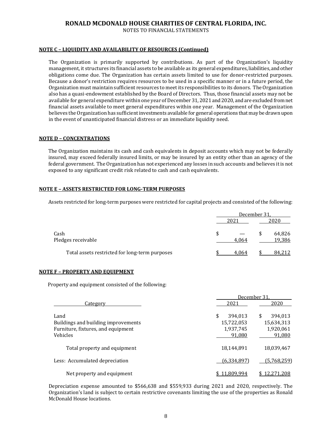NOTES TO FINANCIAL STATEMENTS

## **NOTE C – LIQUIDITY AND AVAILABILITY OF RESOURCES (Continued)**

The Organization is primarily supported by contributions. As part of the Organization's liquidity management, it structures its financial assets to be available as its general expenditures, liabilities, and other obligations come due. The Organization has certain assets limited to use for donor-restricted purposes. Because a donor's restriction requires resources to be used in a specific manner or in a future period, the Organization must maintain sufficient resources to meet its responsibilities to its donors. The Organization also has a quasi-endowment established by the Board of Directors. Thus, those financial assets may not be available for general expenditure within one year of December 31, 2021 and 2020, and are excluded from net financial assets available to meet general expenditures within one year. Management of the Organization believes the Organization has sufficient investments available for general operations that may be drawn upon in the event of unanticipated financial distress or an immediate liquidity need.

## **NOTE D – CONCENTRATIONS**

The Organization maintains its cash and cash equivalents in deposit accounts which may not be federally insured, may exceed federally insured limits, or may be insured by an entity other than an agency of the federal government. The Organization has not experienced any losses in such accounts and believes it is not exposed to any significant credit risk related to cash and cash equivalents.

## **NOTE E – ASSETS RESTRICTED FOR LONG-TERM PURPOSES**

Assets restricted for long-term purposes were restricted for capital projects and consisted of the following:

|                                                |    | December 31 |  |                  |  |  |
|------------------------------------------------|----|-------------|--|------------------|--|--|
|                                                |    | 2021        |  | 2020             |  |  |
| Cash<br>Pledges receivable                     | £. | 4.064       |  | 64,826<br>19,386 |  |  |
| Total assets restricted for long-term purposes |    | 4.064       |  |                  |  |  |

## **NOTE F – PROPERTY AND EQUIPMENT**

Property and equipment consisted of the following:

|                                                                                               | December 31                                        |                                                    |
|-----------------------------------------------------------------------------------------------|----------------------------------------------------|----------------------------------------------------|
| Category                                                                                      | 2021                                               | 2020                                               |
| Land<br>Buildings and building improvements<br>Furniture, fixtures, and equipment<br>Vehicles | \$<br>394,013<br>15,722,053<br>1,937,745<br>91,080 | \$<br>394,013<br>15,634,313<br>1,920,061<br>91,080 |
| Total property and equipment                                                                  | 18,144,891                                         | 18,039,467                                         |
| Less: Accumulated depreciation                                                                | (6,334,897)                                        | (5,768,259)                                        |
| Net property and equipment                                                                    | 11,809.994                                         | 12.271.208                                         |

Depreciation expense amounted to \$566,638 and \$559,933 during 2021 and 2020, respectively. The Organization's land is subject to certain restrictive covenants limiting the use of the properties as Ronald McDonald House locations.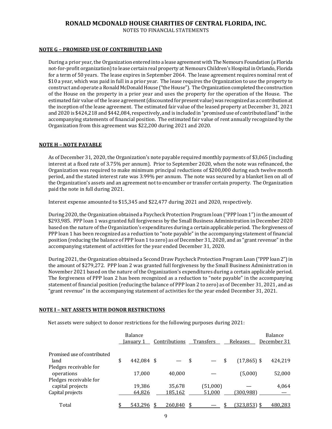NOTES TO FINANCIAL STATEMENTS

## **NOTE G – PROMISED USE OF CONTRIBUTED LAND**

During a prior year, the Organization enteredinto a lease agreement with The Nemours Foundation (a Florida not-for-profit organization) to lease certain real property at Nemours Children's Hospital in Orlando, Florida for a term of 50 years. The lease expires in September 2064. The lease agreement requires nominal rent of \$10 a year, which was paid in full in a prior year. The lease requires the Organization to use the property to construct and operate a Ronald McDonald House ("the House"). The Organization completed the construction of the House on the property in a prior year and uses the property for the operation of the House. The estimated fair value of the lease agreement (discounted for present value) was recognizedas a contribution at the inception of the lease agreement. The estimated fair value of the leased property at December 31, 2021 and 2020 is \$424,218 and \$442,084, respectively, and is included in "promised use of contributed land"in the accompanying statements of financial position. The estimated fair value of rent annually recognized by the Organization from this agreement was \$22,200 during 2021 and 2020.

## **NOTE H – NOTE PAYABLE**

As of December 31, 2020, the Organization's note payable required monthly payments of \$3,065 (including interest at a fixed rate of 3.75% per annum). Prior to September 2020, when the note was refinanced, the Organization was required to make minimum principal reductions of \$200,000 during each twelve month period, and the stated interest rate was 3.99% per annum. The note was secured by a blanket lien on all of the Organization's assets and an agreement not to encumber or transfer certain property. The Organization paid the note in full during 2021.

Interest expense amounted to \$15,345 and \$22,477 during 2021 and 2020, respectively.

During 2020, the Organization obtained a Paycheck Protection Program loan ("PPP loan 1") in the amount of \$293,985. PPP loan 1 was granted full forgiveness by the Small Business Administration in December 2020 based on the nature of the Organization's expenditures during a certain applicable period. The forgiveness of PPP loan 1 has been recognized as a reduction to "note payable" in the accompanying statement of financial position (reducing the balance of PPP loan 1 to zero) as of December 31, 2020, and as "grant revenue" in the accompanying statement of activities for the year ended December 31, 2020.

During 2021, the Organization obtained a Second Draw Paycheck Protection Program Loan ("PPP loan 2") in the amount of \$279,272. PPP loan 2 was granted full forgiveness by the Small Business Administration in November 2021 based on the nature of the Organization's expenditures during a certain applicable period. The forgiveness of PPP loan 2 has been recognized as a reduction to "note payable" in the accompanying statement of financial position (reducing the balance of PPP loan 2 to zero) as of December 31, 2021, and as "grant revenue" in the accompanying statement of activities for the year ended December 31, 2021.

## **NOTE I – NET ASSETS WITH DONOR RESTRICTIONS**

Net assets were subject to donor restrictions for the following purposes during 2021:

|                                            | Balance<br>January 1 | Contributions |     | Transfers | Releases             | <b>Balance</b><br>December 31 |
|--------------------------------------------|----------------------|---------------|-----|-----------|----------------------|-------------------------------|
| Promised use of contributed<br>land        | \$<br>442,084 \$     |               | -\$ |           | \$<br>$(17, 865)$ \$ | 424,219                       |
| Pledges receivable for<br>operations       | 17,000               | 40.000        |     |           | (5,000)              | 52,000                        |
| Pledges receivable for<br>capital projects | 19,386               | 35,678        |     | (51,000)  |                      | 4,064                         |
| Capital projects                           | 64,826               | 185,162       |     | 51,000    | (300, 988)           |                               |
| Total                                      | 543.296              | 260.840       |     |           | <u>323,853) \$</u>   | 480.283                       |